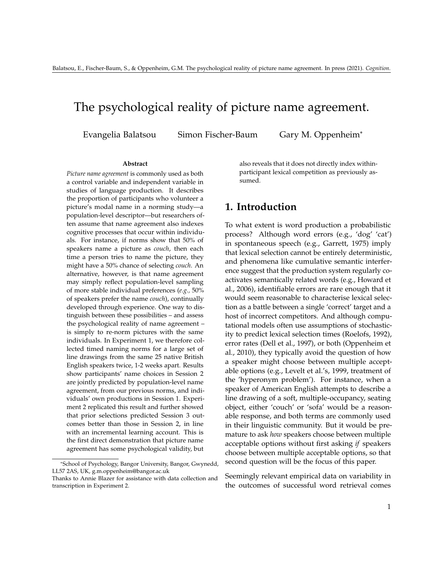# The psychological reality of picture name agreement.

Evangelia Balatsou Simon Fischer-Baum Gary M. Oppenheim\*

#### **Abstract**

*Picture name agreement* is commonly used as both a control variable and independent variable in studies of language production. It describes the proportion of participants who volunteer a picture's modal name in a norming study—a population-level descriptor—but researchers often assume that name agreement also indexes cognitive processes that occur within individuals. For instance, if norms show that 50% of speakers name a picture as *couch*, then each time a person tries to name the picture, they might have a 50% chance of selecting *couch*. An alternative, however, is that name agreement may simply reflect population-level sampling of more stable individual preferences (*e.g.,* 50% of speakers prefer the name *couch*), continually developed through experience. One way to distinguish between these possibilities – and assess the psychological reality of name agreement – is simply to re-norm pictures with the same individuals. In Experiment 1, we therefore collected timed naming norms for a large set of line drawings from the same 25 native British English speakers twice, 1-2 weeks apart. Results show participants' name choices in Session 2 are jointly predicted by population-level name agreement, from our previous norms, and individuals' own productions in Session 1. Experiment 2 replicated this result and further showed that prior selections predicted Session 3 outcomes better than those in Session 2, in line with an incremental learning account. This is the first direct demonstration that picture name agreement has some psychological validity, but

also reveals that it does not directly index withinparticipant lexical competition as previously assumed.

## **1. Introduction**

To what extent is word production a probabilistic process? Although word errors (e.g., 'dog' 'cat') in spontaneous speech (e.g., Garrett, 1975) imply that lexical selection cannot be entirely deterministic, and phenomena like cumulative semantic interference suggest that the production system regularly coactivates semantically related words (e.g., Howard et al., 2006), identifiable errors are rare enough that it would seem reasonable to characterise lexical selection as a battle between a single 'correct' target and a host of incorrect competitors. And although computational models often use assumptions of stochasticity to predict lexical selection times (Roelofs, 1992), error rates (Dell et al., 1997), or both (Oppenheim et al., 2010), they typically avoid the question of how a speaker might choose between multiple acceptable options (e.g., Levelt et al.'s, 1999, treatment of the 'hyperonym problem'). For instance, when a speaker of American English attempts to describe a line drawing of a soft, multiple-occupancy, seating object, either 'couch' or 'sofa' would be a reasonable response, and both terms are commonly used in their linguistic community. But it would be premature to ask *how* speakers choose between multiple acceptable options without first asking *if* speakers choose between multiple acceptable options, so that second question will be the focus of this paper.

Seemingly relevant empirical data on variability in the outcomes of successful word retrieval comes

<sup>\*</sup>School of Psychology, Bangor University, Bangor, Gwynedd, LL57 2AS, UK, g.m.oppenheim@bangor.ac.uk

Thanks to Annie Blazer for assistance with data collection and transcription in Experiment 2.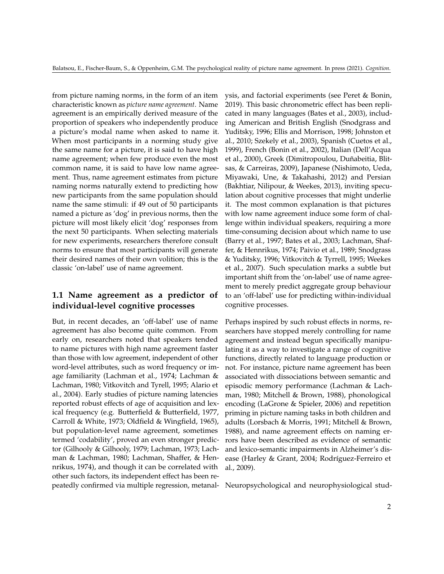from picture naming norms, in the form of an item characteristic known as *picture name agreement*. Name agreement is an empirically derived measure of the proportion of speakers who independently produce a picture's modal name when asked to name it. When most participants in a norming study give the same name for a picture, it is said to have high name agreement; when few produce even the most common name, it is said to have low name agreement. Thus, name agreement estimates from picture naming norms naturally extend to predicting how new participants from the same population should name the same stimuli: if 49 out of 50 participants named a picture as 'dog' in previous norms, then the picture will most likely elicit 'dog' responses from the next 50 participants. When selecting materials for new experiments, researchers therefore consult norms to ensure that most participants will generate their desired names of their own volition; this is the classic 'on-label' use of name agreement.

## **1.1 Name agreement as a predictor of individual-level cognitive processes**

But, in recent decades, an 'off-label' use of name agreement has also become quite common. From early on, researchers noted that speakers tended to name pictures with high name agreement faster than those with low agreement, independent of other word-level attributes, such as word frequency or image familiarity (Lachman et al., 1974; Lachman & Lachman, 1980; Vitkovitch and Tyrell, 1995; Alario et al., 2004). Early studies of picture naming latencies reported robust effects of age of acquisition and lexical frequency (e.g. Butterfield & Butterfield, 1977, Carroll & White, 1973; Oldfield & Wingfield, 1965), but population-level name agreement, sometimes termed 'codability', proved an even stronger predictor (Gilhooly & Gilhooly, 1979; Lachman, 1973; Lachman & Lachman, 1980; Lachman, Shaffer, & Hennrikus, 1974), and though it can be correlated with other such factors, its independent effect has been repeatedly confirmed via multiple regression, metanal-Neuropsychological and neurophysiological stud-

ysis, and factorial experiments (see Peret & Bonin, 2019). This basic chronometric effect has been replicated in many languages (Bates et al., 2003), including American and British English (Snodgrass and Yuditsky, 1996; Ellis and Morrison, 1998; Johnston et al., 2010; Szekely et al., 2003), Spanish (Cuetos et al., 1999), French (Bonin et al., 2002), Italian (Dell'Acqua et al., 2000), Greek (Dimitropoulou, Duñabeitia, Blitsas, & Carreiras, 2009), Japanese (Nishimoto, Ueda, Miyawaki, Une, & Takahashi, 2012) and Persian (Bakhtiar, Nilipour, & Weekes, 2013), inviting speculation about cognitive processes that might underlie it. The most common explanation is that pictures with low name agreement induce some form of challenge within individual speakers, requiring a more time-consuming decision about which name to use (Barry et al., 1997; Bates et al., 2003; Lachman, Shaffer, & Hennrikus, 1974; Paivio et al., 1989; Snodgrass & Yuditsky, 1996; Vitkovitch & Tyrrell, 1995; Weekes et al., 2007). Such speculation marks a subtle but important shift from the 'on-label' use of name agreement to merely predict aggregate group behaviour to an 'off-label' use for predicting within-individual cognitive processes.

Perhaps inspired by such robust effects in norms, researchers have stopped merely controlling for name agreement and instead begun specifically manipulating it as a way to investigate a range of cognitive functions, directly related to language production or not. For instance, picture name agreement has been associated with dissociations between semantic and episodic memory performance (Lachman & Lachman, 1980; Mitchell & Brown, 1988), phonological encoding (LaGrone & Spieler, 2006) and repetition priming in picture naming tasks in both children and adults (Lorsbach & Morris, 1991; Mitchell & Brown, 1988), and name agreement effects on naming errors have been described as evidence of semantic and lexico-semantic impairments in Alzheimer's disease (Harley & Grant, 2004; Rodríguez-Ferreiro et al., 2009).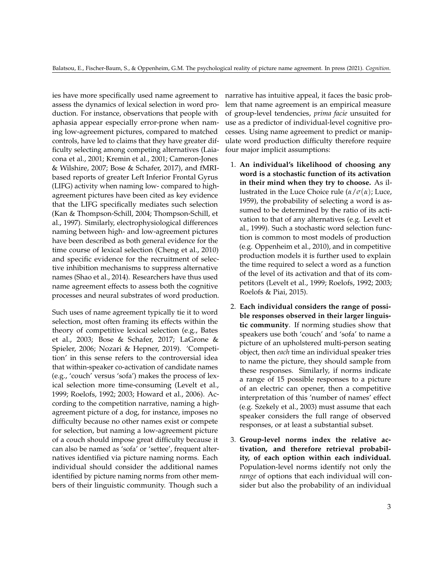ies have more specifically used name agreement to assess the dynamics of lexical selection in word production. For instance, observations that people with aphasia appear especially error-prone when naming low-agreement pictures, compared to matched controls, have led to claims that they have greater difficulty selecting among competing alternatives (Laiacona et al., 2001; Kremin et al., 2001; Cameron-Jones & Wilshire, 2007; Bose & Schafer, 2017), and fMRIbased reports of greater Left Inferior Frontal Gyrus (LIFG) activity when naming low- compared to highagreement pictures have been cited as key evidence that the LIFG specifically mediates such selection (Kan & Thompson-Schill, 2004; Thompson-Schill, et al., 1997). Similarly, electrophysiological differences naming between high- and low-agreement pictures have been described as both general evidence for the time course of lexical selection (Cheng et al., 2010) and specific evidence for the recruitment of selective inhibition mechanisms to suppress alternative names (Shao et al., 2014). Researchers have thus used name agreement effects to assess both the cognitive processes and neural substrates of word production.

Such uses of name agreement typically tie it to word selection, most often framing its effects within the theory of competitive lexical selection (e.g., Bates et al., 2003; Bose & Schafer, 2017; LaGrone & Spieler, 2006; Nozari & Hepner, 2019). 'Competition' in this sense refers to the controversial idea that within-speaker co-activation of candidate names (e.g., 'couch' versus 'sofa') makes the process of lexical selection more time-consuming (Levelt et al., 1999; Roelofs, 1992; 2003; Howard et al., 2006). According to the competition narrative, naming a highagreement picture of a dog, for instance, imposes no difficulty because no other names exist or compete for selection, but naming a low-agreement picture of a couch should impose great difficulty because it can also be named as 'sofa' or 'settee', frequent alternatives identified via picture naming norms. Each individual should consider the additional names identified by picture naming norms from other members of their linguistic community. Though such a

narrative has intuitive appeal, it faces the basic problem that name agreement is an empirical measure of group-level tendencies, *prima facie* unsuited for use as a predictor of individual-level cognitive processes. Using name agreement to predict or manipulate word production difficulty therefore require four major implicit assumptions:

- 1. **An individual's likelihood of choosing any word is a stochastic function of its activation in their mind when they try to choose.** As illustrated in the Luce Choice rule (*α*/*σ*(*α*); Luce, 1959), the probability of selecting a word is assumed to be determined by the ratio of its activation to that of any alternatives (e.g. Levelt et al., 1999). Such a stochastic word selection function is common to most models of production (e.g. Oppenheim et al., 2010), and in competitive production models it is further used to explain the time required to select a word as a function of the level of its activation and that of its competitors (Levelt et al., 1999; Roelofs, 1992; 2003; Roelofs & Piai, 2015).
- 2. **Each individual considers the range of possible responses observed in their larger linguistic community**. If norming studies show that speakers use both 'couch' and 'sofa' to name a picture of an upholstered multi-person seating object, then *each* time an individual speaker tries to name the picture, they should sample from these responses. Similarly, if norms indicate a range of 15 possible responses to a picture of an electric can opener, then a competitive interpretation of this 'number of names' effect (e.g. Szekely et al., 2003) must assume that each speaker considers the full range of observed responses, or at least a substantial subset.
- 3. **Group-level norms index the relative activation, and therefore retrieval probability, of each option within each individual.** Population-level norms identify not only the *range* of options that each individual will consider but also the probability of an individual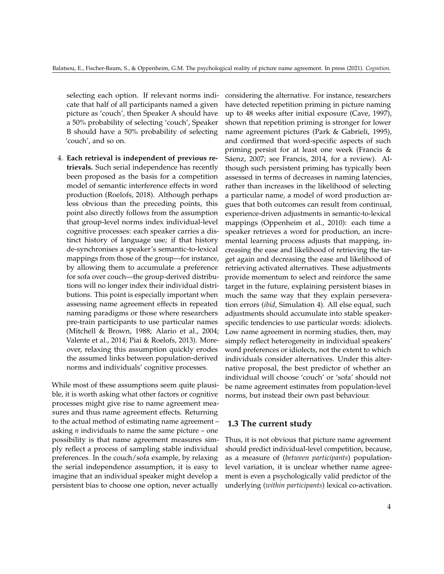selecting each option. If relevant norms indicate that half of all participants named a given picture as 'couch', then Speaker A should have a 50% probability of selecting 'couch', Speaker B should have a 50% probability of selecting 'couch', and so on.

4. **Each retrieval is independent of previous retrievals.** Such serial independence has recently been proposed as the basis for a competition model of semantic interference effects in word production (Roelofs, 2018). Although perhaps less obvious than the preceding points, this point also directly follows from the assumption that group-level norms index individual-level cognitive processes: each speaker carries a distinct history of language use; if that history de-synchronises a speaker's semantic-to-lexical mappings from those of the group—for instance, by allowing them to accumulate a preference for sofa over couch—the group-derived distributions will no longer index their individual distributions. This point is especially important when assessing name agreement effects in repeated naming paradigms or those where researchers pre-train participants to use particular names (Mitchell & Brown, 1988; Alario et al., 2004; Valente et al., 2014; Piai & Roelofs, 2013). Moreover, relaxing this assumption quickly erodes the assumed links between population-derived norms and individuals' cognitive processes.

While most of these assumptions seem quite plausible, it is worth asking what other factors or cognitive processes might give rise to name agreement measures and thus name agreement effects. Returning to the actual method of estimating name agreement – asking *n* individuals to name the same picture – one possibility is that name agreement measures simply reflect a process of sampling stable individual preferences. In the couch/sofa example, by relaxing the serial independence assumption, it is easy to imagine that an individual speaker might develop a persistent bias to choose one option, never actually

considering the alternative. For instance, researchers have detected repetition priming in picture naming up to 48 weeks after initial exposure (Cave, 1997), shown that repetition priming is stronger for lower name agreement pictures (Park & Gabrieli, 1995), and confirmed that word-specific aspects of such priming persist for at least one week (Francis & Sáenz, 2007; see Francis, 2014, for a review). Although such persistent priming has typically been assessed in terms of decreases in naming latencies, rather than increases in the likelihood of selecting a particular name, a model of word production argues that both outcomes can result from continual, experience-driven adjustments in semantic-to-lexical mappings (Oppenheim et al., 2010): each time a speaker retrieves a word for production, an incremental learning process adjusts that mapping, increasing the ease and likelihood of retrieving the target again and decreasing the ease and likelihood of retrieving activated alternatives. These adjustments provide momentum to select and reinforce the same target in the future, explaining persistent biases in much the same way that they explain perseveration errors (*ibid*, Simulation 4). All else equal, such adjustments should accumulate into stable speakerspecific tendencies to use particular words: idiolects. Low name agreement in norming studies, then, may simply reflect heterogeneity in individual speakers' word preferences or idiolects, not the extent to which individuals consider alternatives. Under this alternative proposal, the best predictor of whether an individual will choose 'couch' or 'sofa' should not be name agreement estimates from population-level norms, but instead their own past behaviour.

## **1.3 The current study**

Thus, it is not obvious that picture name agreement should predict individual-level competition, because, as a measure of (*between participants*) populationlevel variation, it is unclear whether name agreement is even a psychologically valid predictor of the underlying (*within participants*) lexical co-activation.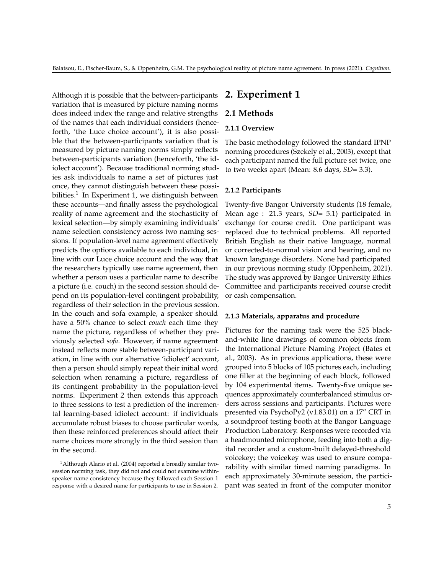Although it is possible that the between-participants variation that is measured by picture naming norms does indeed index the range and relative strengths of the names that each individual considers (henceforth, 'the Luce choice account'), it is also possible that the between-participants variation that is measured by picture naming norms simply reflects between-participants variation (henceforth, 'the idiolect account'). Because traditional norming studies ask individuals to name a set of pictures just once, they cannot distinguish between these possibilities. $^1$  $^1$  In Experiment 1, we distinguish between these accounts—and finally assess the psychological reality of name agreement and the stochasticity of lexical selection—by simply examining individuals' name selection consistency across two naming sessions. If population-level name agreement effectively predicts the options available to each individual, in line with our Luce choice account and the way that the researchers typically use name agreement, then whether a person uses a particular name to describe a picture (i.e. couch) in the second session should depend on its population-level contingent probability, regardless of their selection in the previous session. In the couch and sofa example, a speaker should have a 50% chance to select *couch* each time they name the picture, regardless of whether they previously selected *sofa*. However, if name agreement instead reflects more stable between-participant variation, in line with our alternative 'idiolect' account, then a person should simply repeat their initial word selection when renaming a picture, regardless of its contingent probability in the population-level norms. Experiment 2 then extends this approach to three sessions to test a prediction of the incremental learning-based idiolect account: if individuals accumulate robust biases to choose particular words, then these reinforced preferences should affect their name choices more strongly in the third session than in the second.

# **2. Experiment 1**

## **2.1 Methods**

## **2.1.1 Overview**

The basic methodology followed the standard IPNP norming procedures (Szekely et al., 2003), except that each participant named the full picture set twice, one to two weeks apart (Mean: 8.6 days, *SD*= 3.3).

### **2.1.2 Participants**

Twenty-five Bangor University students (18 female, Mean age : 21.3 years, *SD*= 5.1) participated in exchange for course credit. One participant was replaced due to technical problems. All reported British English as their native language, normal or corrected-to-normal vision and hearing, and no known language disorders. None had participated in our previous norming study (Oppenheim, 2021). The study was approved by Bangor University Ethics Committee and participants received course credit or cash compensation.

## **2.1.3 Materials, apparatus and procedure**

Pictures for the naming task were the 525 blackand-white line drawings of common objects from the International Picture Naming Project (Bates et al., 2003). As in previous applications, these were grouped into 5 blocks of 105 pictures each, including one filler at the beginning of each block, followed by 104 experimental items. Twenty-five unique sequences approximately counterbalanced stimulus orders across sessions and participants. Pictures were presented via PsychoPy2 (v1.83.01) on a 17" CRT in a soundproof testing booth at the Bangor Language Production Laboratory. Responses were recorded via a headmounted microphone, feeding into both a digital recorder and a custom-built delayed-threshold voicekey; the voicekey was used to ensure comparability with similar timed naming paradigms. In each approximately 30-minute session, the participant was seated in front of the computer monitor

<span id="page-4-0"></span><sup>&</sup>lt;sup>1</sup> Although Alario et al. (2004) reported a broadly similar twosession norming task, they did not and could not examine withinspeaker name consistency because they followed each Session 1 response with a desired name for participants to use in Session 2.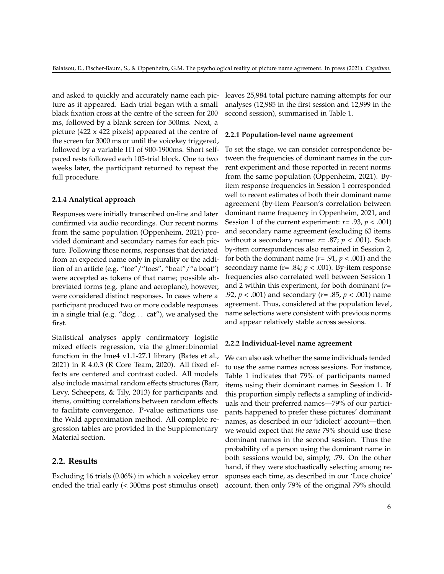and asked to quickly and accurately name each picture as it appeared. Each trial began with a small black fixation cross at the centre of the screen for 200 ms, followed by a blank screen for 500ms. Next, a picture (422 x 422 pixels) appeared at the centre of the screen for 3000 ms or until the voicekey triggered, followed by a variable ITI of 900-1900ms. Short selfpaced rests followed each 105-trial block. One to two weeks later, the participant returned to repeat the full procedure.

#### **2.1.4 Analytical approach**

Responses were initially transcribed on-line and later confirmed via audio recordings. Our recent norms from the same population (Oppenheim, 2021) provided dominant and secondary names for each picture. Following those norms, responses that deviated from an expected name only in plurality or the addition of an article (e.g. "toe"/"toes", "boat"/"a boat") were accepted as tokens of that name; possible abbreviated forms (e.g. plane and aeroplane), however, were considered distinct responses. In cases where a participant produced two or more codable responses in a single trial (e.g. "dog. . . cat"), we analysed the first.

Statistical analyses apply confirmatory logistic mixed effects regression, via the glmer::binomial function in the lme4 v1.1-27.1 library (Bates et al., 2021) in R 4.0.3 (R Core Team, 2020). All fixed effects are centered and contrast coded. All models also include maximal random effects structures (Barr, Levy, Scheepers, & Tily, 2013) for participants and items, omitting correlations between random effects to facilitate convergence. P-value estimations use the Wald approximation method. All complete regression tables are provided in the Supplementary Material section.

## **2.2. Results**

Excluding 16 trials (0.06%) in which a voicekey error ended the trial early (< 300ms post stimulus onset) leaves 25,984 total picture naming attempts for our analyses (12,985 in the first session and 12,999 in the second session), summarised in Table 1.

## **2.2.1 Population-level name agreement**

To set the stage, we can consider correspondence between the frequencies of dominant names in the current experiment and those reported in recent norms from the same population (Oppenheim, 2021). Byitem response frequencies in Session 1 corresponded well to recent estimates of both their dominant name agreement (by-item Pearson's correlation between dominant name frequency in Oppenheim, 2021, and Session 1 of the current experiment: *r*= .93, *p* < .001) and secondary name agreement (excluding 63 items without a secondary name: *r*= .87; *p* < .001). Such by-item correspondences also remained in Session 2, for both the dominant name ( $r = .91$ ,  $p < .001$ ) and the secondary name ( $r = .84$ ;  $p < .001$ ). By-item response frequencies also correlated well between Session 1 and 2 within this experiment, for both dominant (*r*= .92, *p* < .001) and secondary (*r*= .85, *p* < .001) name agreement. Thus, considered at the population level, name selections were consistent with previous norms and appear relatively stable across sessions.

#### **2.2.2 Individual-level name agreement**

We can also ask whether the same individuals tended to use the same names across sessions. For instance, Table 1 indicates that 79% of participants named items using their dominant names in Session 1. If this proportion simply reflects a sampling of individuals and their preferred names—79% of our participants happened to prefer these pictures' dominant names, as described in our 'idiolect' account—then we would expect that *the same* 79% should use these dominant names in the second session. Thus the probability of a person using the dominant name in both sessions would be, simply, .79. On the other hand, if they were stochastically selecting among responses each time, as described in our 'Luce choice' account, then only 79% of the original 79% should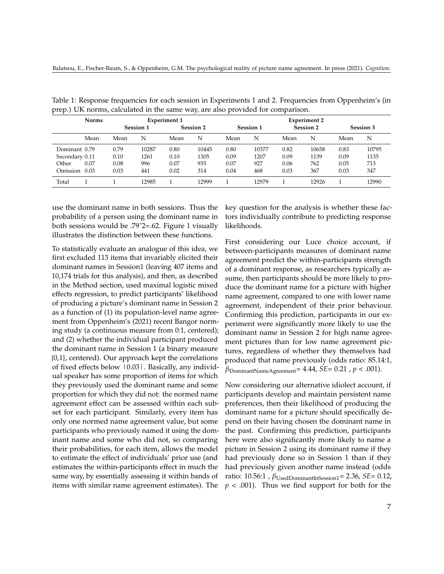|                | <b>Norms</b> | <b>Experiment 1</b> |       |                  |       | <b>Experiment 2</b> |       |           |       |           |       |
|----------------|--------------|---------------------|-------|------------------|-------|---------------------|-------|-----------|-------|-----------|-------|
|                |              | <b>Session 1</b>    |       | <b>Session 2</b> |       | <b>Session 1</b>    |       | Session 2 |       | Session 3 |       |
|                | Mean         | Mean                | N     | Mean             | N     | Mean                | N     | Mean      | N     | Mean      | N     |
| Dominant 0.79  |              | 0.79                | 10287 | 0.80             | 10445 | 0.80                | 10377 | 0.82      | 10658 | 0.83      | 10795 |
| Secondary 0.11 |              | 0.10                | 1261  | 0.10             | 1305  | 0.09                | 1207  | 0.09      | 1139  | 0.09      | 1135  |
| Other          | 0.07         | 0.08                | 996   | 0.07             | 935   | 0.07                | 927   | 0.06      | 762   | 0.05      | 713   |
| Omission       | 0.03         | 0.03                | 441   | 0.02             | 314   | 0.04                | 468   | 0.03      | 367   | 0.03      | 347   |
| Total          |              |                     | 12985 |                  | 12999 |                     | 12979 |           | 12926 |           | 12990 |

Table 1: Response frequencies for each session in Experiments 1 and 2. Frequencies from Oppenheim's (in prep.) UK norms, calculated in the same way, are also provided for comparison.

use the dominant name in both sessions. Thus the probability of a person using the dominant name in both sessions would be .79ˆ2=.62. Figure 1 visually illustrates the distinction between these functions.

To statistically evaluate an analogue of this idea, we first excluded 113 items that invariably elicited their dominant names in Session1 (leaving 407 items and 10,174 trials for this analysis), and then, as described in the Method section, used maximal logistic mixed effects regression, to predict participants' likelihood of producing a picture's dominant name in Session 2 as a function of (1) its population-level name agreement from Oppenheim's (2021) recent Bangor norming study (a continuous measure from 0:1, centered); and (2) whether the individual participant produced the dominant name in Session 1 (a binary measure {0,1}, centered). Our approach kept the correlations of fixed effects below  $|0.03|$ . Basically, any individual speaker has some proportion of items for which they previously used the dominant name and some proportion for which they did not: the normed name agreement effect can be assessed within each subset for each participant. Similarly, every item has only one normed name agreement value, but some participants who previously named it using the dominant name and some who did not, so comparing their probabilities, for each item, allows the model to estimate the effect of individuals' prior use (and estimates the within-participants effect in much the same way, by essentially assessing it within bands of items with similar name agreement estimates). The key question for the analysis is whether these factors individually contribute to predicting response likelihoods.

First considering our Luce choice account, if between-participants measures of dominant name agreement predict the within-participants strength of a dominant response, as researchers typically assume, then participants should be more likely to produce the dominant name for a picture with higher name agreement, compared to one with lower name agreement, independent of their prior behaviour. Confirming this prediction, participants in our experiment were significantly more likely to use the dominant name in Session 2 for high name agreement pictures than for low name agreement pictures, regardless of whether they themselves had produced that name previously (odds ratio: 85.14:1, *β*DominantNameAgreement= 4.44, *SE*= 0.21 , *p* < .001).

Now considering our alternative idiolect account, if participants develop and maintain persistent name preferences, then their likelihood of producing the dominant name for a picture should specifically depend on their having chosen the dominant name in the past. Confirming this prediction, participants here were also significantly more likely to name a picture in Session 2 using its dominant name if they had previously done so in Session 1 than if they had previously given another name instead (odds ratio: 10.56:1 , *β*UsedDominantInSession1= 2.36, *SE*= 0.12,  $p < .001$ ). Thus we find support for both for the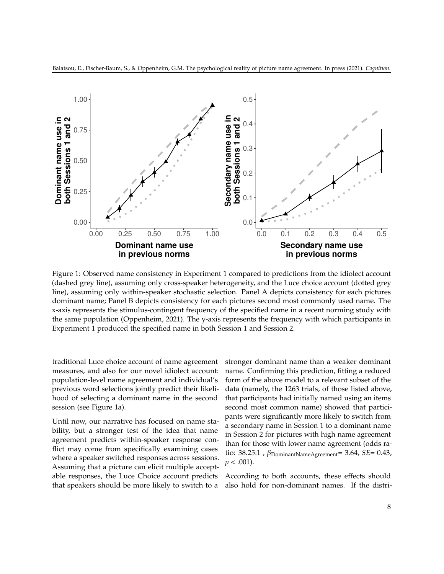



Figure 1: Observed name consistency in Experiment 1 compared to predictions from the idiolect account (dashed grey line), assuming only cross-speaker heterogeneity, and the Luce choice account (dotted grey line), assuming only within-speaker stochastic selection. Panel A depicts consistency for each pictures dominant name; Panel B depicts consistency for each pictures second most commonly used name. The x-axis represents the stimulus-contingent frequency of the specified name in a recent norming study with the same population (Oppenheim, 2021). The y-axis represents the frequency with which participants in Experiment 1 produced the specified name in both Session 1 and Session 2.

traditional Luce choice account of name agreement measures, and also for our novel idiolect account: population-level name agreement and individual's previous word selections jointly predict their likelihood of selecting a dominant name in the second session (see Figure 1a).

Until now, our narrative has focused on name stability, but a stronger test of the idea that name agreement predicts within-speaker response conflict may come from specifically examining cases where a speaker switched responses across sessions. Assuming that a picture can elicit multiple acceptable responses, the Luce Choice account predicts that speakers should be more likely to switch to a stronger dominant name than a weaker dominant name. Confirming this prediction, fitting a reduced form of the above model to a relevant subset of the data (namely, the 1263 trials, of those listed above, that participants had initially named using an items second most common name) showed that participants were significantly more likely to switch from a secondary name in Session 1 to a dominant name in Session 2 for pictures with high name agreement than for those with lower name agreement (odds ratio: 38.25:1, *β*<sub>DominantNameAgreement</sub>= 3.64, *SE*= 0.43, *p* < .001).

According to both accounts, these effects should also hold for non-dominant names. If the distri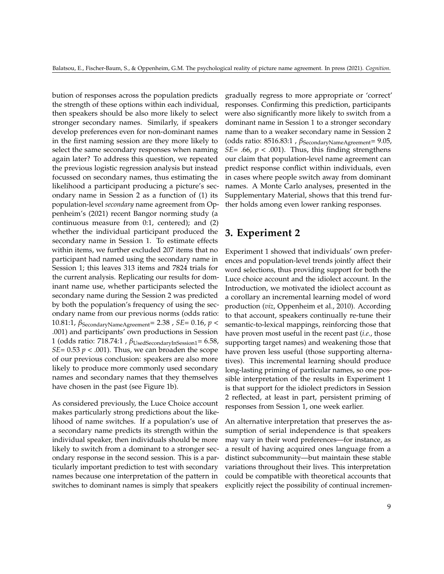bution of responses across the population predicts the strength of these options within each individual, then speakers should be also more likely to select stronger secondary names. Similarly, if speakers develop preferences even for non-dominant names in the first naming session are they more likely to select the same secondary responses when naming again later? To address this question, we repeated the previous logistic regression analysis but instead focussed on secondary names, thus estimating the likelihood a participant producing a picture's secondary name in Session 2 as a function of (1) its population-level *secondary* name agreement from Oppenheim's (2021) recent Bangor norming study (a continuous measure from 0:1, centered); and (2) whether the individual participant produced the secondary name in Session 1. To estimate effects within items, we further excluded 207 items that no participant had named using the secondary name in Session 1; this leaves 313 items and 7824 trials for the current analysis. Replicating our results for dominant name use, whether participants selected the secondary name during the Session 2 was predicted by both the population's frequency of using the secondary name from our previous norms (odds ratio: 10.81:1, *β*SecondaryNameAgreement= 2.38 , *SE*= 0.16, *p* < .001) and participants' own productions in Session 1 (odds ratio: 718.74:1, β<sub>UsedSecondaryInSession1</sub>= 6.58, *SE*= 0.53  $p$  < .001). Thus, we can broaden the scope of our previous conclusion: speakers are also more likely to produce more commonly used secondary names and secondary names that they themselves have chosen in the past (see Figure 1b).

As considered previously, the Luce Choice account makes particularly strong predictions about the likelihood of name switches. If a population's use of a secondary name predicts its strength within the individual speaker, then individuals should be more likely to switch from a dominant to a stronger secondary response in the second session. This is a particularly important prediction to test with secondary names because one interpretation of the pattern in switches to dominant names is simply that speakers

gradually regress to more appropriate or 'correct' responses. Confirming this prediction, participants were also significantly more likely to switch from a dominant name in Session 1 to a stronger secondary name than to a weaker secondary name in Session 2 (odds ratio: 8516.83:1, β<sub>SecondaryNameAgreement</sub>= 9.05, *SE*= .66,  $p < .001$ ). Thus, this finding strengthens our claim that population-level name agreement can predict response conflict within individuals, even in cases where people switch away from dominant names. A Monte Carlo analyses, presented in the Supplementary Material, shows that this trend further holds among even lower ranking responses.

# **3. Experiment 2**

Experiment 1 showed that individuals' own preferences and population-level trends jointly affect their word selections, thus providing support for both the Luce choice account and the idiolect account. In the Introduction, we motivated the idiolect account as a corollary an incremental learning model of word production (*viz*, Oppenheim et al., 2010). According to that account, speakers continually re-tune their semantic-to-lexical mappings, reinforcing those that have proven most useful in the recent past (*i.e.*, those supporting target names) and weakening those that have proven less useful (those supporting alternatives). This incremental learning should produce long-lasting priming of particular names, so one possible interpretation of the results in Experiment 1 is that support for the idiolect predictors in Session 2 reflected, at least in part, persistent priming of responses from Session 1, one week earlier.

An alternative interpretation that preserves the assumption of serial independence is that speakers may vary in their word preferences—for instance, as a result of having acquired ones language from a distinct subcommunity—but maintain these stable variations throughout their lives. This interpretation could be compatible with theoretical accounts that explicitly reject the possibility of continual incremen-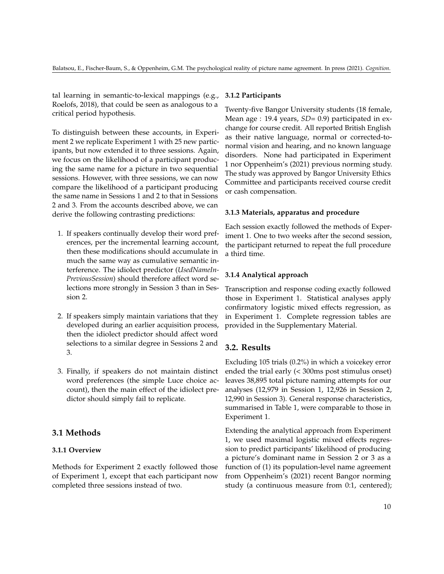tal learning in semantic-to-lexical mappings (e.g., Roelofs, 2018), that could be seen as analogous to a critical period hypothesis.

To distinguish between these accounts, in Experiment 2 we replicate Experiment 1 with 25 new participants, but now extended it to three sessions. Again, we focus on the likelihood of a participant producing the same name for a picture in two sequential sessions. However, with three sessions, we can now compare the likelihood of a participant producing the same name in Sessions 1 and 2 to that in Sessions 2 and 3. From the accounts described above, we can derive the following contrasting predictions:

- 1. If speakers continually develop their word preferences, per the incremental learning account, then these modifications should accumulate in much the same way as cumulative semantic interference. The idiolect predictor (*UsedNameIn-PreviousSession*) should therefore affect word selections more strongly in Session 3 than in Session 2.
- 2. If speakers simply maintain variations that they developed during an earlier acquisition process, then the idiolect predictor should affect word selections to a similar degree in Sessions 2 and 3.
- 3. Finally, if speakers do not maintain distinct word preferences (the simple Luce choice account), then the main effect of the idiolect predictor should simply fail to replicate.

## **3.1 Methods**

## **3.1.1 Overview**

Methods for Experiment 2 exactly followed those of Experiment 1, except that each participant now completed three sessions instead of two.

#### **3.1.2 Participants**

Twenty-five Bangor University students (18 female, Mean age : 19.4 years, *SD*= 0.9) participated in exchange for course credit. All reported British English as their native language, normal or corrected-tonormal vision and hearing, and no known language disorders. None had participated in Experiment 1 nor Oppenheim's (2021) previous norming study. The study was approved by Bangor University Ethics Committee and participants received course credit or cash compensation.

### **3.1.3 Materials, apparatus and procedure**

Each session exactly followed the methods of Experiment 1. One to two weeks after the second session, the participant returned to repeat the full procedure a third time.

## **3.1.4 Analytical approach**

Transcription and response coding exactly followed those in Experiment 1. Statistical analyses apply confirmatory logistic mixed effects regression, as in Experiment 1. Complete regression tables are provided in the Supplementary Material.

## **3.2. Results**

Excluding 105 trials (0.2%) in which a voicekey error ended the trial early (< 300ms post stimulus onset) leaves 38,895 total picture naming attempts for our analyses (12,979 in Session 1, 12,926 in Session 2, 12,990 in Session 3). General response characteristics, summarised in Table 1, were comparable to those in Experiment 1.

Extending the analytical approach from Experiment 1, we used maximal logistic mixed effects regression to predict participants' likelihood of producing a picture's dominant name in Session 2 or 3 as a function of (1) its population-level name agreement from Oppenheim's (2021) recent Bangor norming study (a continuous measure from 0:1, centered);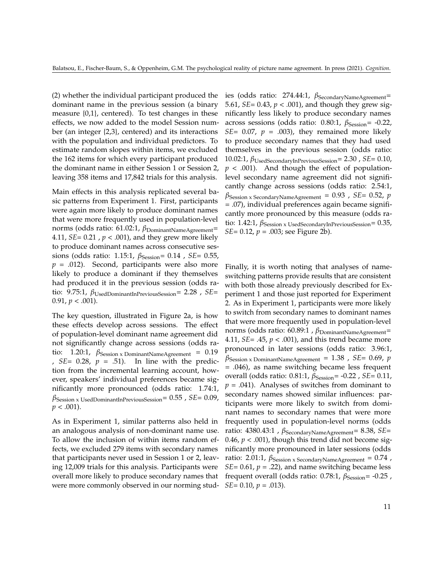(2) whether the individual participant produced the dominant name in the previous session (a binary measure  $\{0,1\}$ , centered). To test changes in these effects, we now added to the model Session number (an integer {2,3}, centered) and its interactions with the population and individual predictors. To estimate random slopes within items, we excluded the 162 items for which every participant produced the dominant name in either Session 1 or Session 2, leaving 358 items and 17,842 trials for this analysis.

Main effects in this analysis replicated several basic patterns from Experiment 1. First, participants were again more likely to produce dominant names that were more frequently used in population-level norms (odds ratio: 61.02:1, β<sub>DominantNameAgreement</sub>= 4.11, *SE*= 0.21 , *p* < .001), and they grew more likely to produce dominant names across consecutive sessions (odds ratio: 1.15:1, *β*<sub>Session</sub>= 0.14, *SE*= 0.55,  $p = .012$ ). Second, participants were also more likely to produce a dominant if they themselves had produced it in the previous session (odds ratio: 9.75:1, *β*UsedDominantInPreviousSession= 2.28 , *SE*= 0.91,  $p < .001$ ).

The key question, illustrated in Figure 2a, is how these effects develop across sessions. The effect of population-level dominant name agreement did not significantly change across sessions (odds ratio: 1.20:1,  $\beta$ Session x DominantNameAgreement = 0.19 ,  $SE = 0.28$ ,  $p = .51$ ). In line with the prediction from the incremental learning account, however, speakers' individual preferences became significantly more pronounced (odds ratio: 1.74:1, *β*Session x UsedDominantInPreviousSession= 0.55 , *SE*= 0.09,  $p < .001$ ).

As in Experiment 1, similar patterns also held in an analogous analysis of non-dominant name use. To allow the inclusion of within items random effects, we excluded 279 items with secondary names that participants never used in Session 1 or 2, leaving 12,009 trials for this analysis. Participants were overall more likely to produce secondary names that were more commonly observed in our norming stud-*SE*= 0.10, *p* = .013).

ies (odds ratio: 274.44:1, β<sub>SecondaryNameAgreement</sub>= 5.61, *SE*= 0.43, *p* < .001), and though they grew significantly less likely to produce secondary names across sessions (odds ratio: 0.80:1, *β*<sub>Session</sub>= -0.22, *SE*= 0.07,  $p = .003$ ), they remained more likely to produce secondary names that they had used themselves in the previous session (odds ratio: 10.02:1, *β*UsedSecondaryInPreviousSession= 2.30 , *SE*= 0.10,  $p < .001$ ). And though the effect of populationlevel secondary name agreement did not significantly change across sessions (odds ratio: 2.54:1, *β*Session x SecondaryNameAgreement = 0.93 , *SE*= 0.52, *p* = .07), individual preferences again became significantly more pronounced by this measure (odds ratio: 1.42:1, *β*<sub>Session x</sub> UsedSecondaryInPreviousSession</sub>= 0.35, *SE*= 0.12, *p* = .003; see Figure 2b).

Finally, it is worth noting that analyses of nameswitching patterns provide results that are consistent with both those already previously described for Experiment 1 and those just reported for Experiment 2. As in Experiment 1, participants were more likely to switch from secondary names to dominant names that were more frequently used in population-level norms (odds ratio: 60.89:1, β<sub>DominantNameAgreement</sub>= 4.11, *SE*= .45, *p* < .001), and this trend became more pronounced in later sessions (odds ratio: 3.96:1, *β*Session x DominantNameAgreement = 1.38 , *SE*= 0.69, *p* = .046), as name switching became less frequent overall (odds ratio: 0.81:1, *β*<sub>Session</sub>= -0.22, *SE*= 0.11,  $p = .041$ ). Analyses of switches from dominant to secondary names showed similar influences: participants were more likely to switch from dominant names to secondary names that were more frequently used in population-level norms (odds ratio: 4380.43:1, *β*SecondaryNameAgreement= 8.38, *SE*= 0.46,  $p < .001$ ), though this trend did not become significantly more pronounced in later sessions (odds ratio: 2.01:1,  $\beta$ <sub>Session x</sub> SecondaryNameAgreement</sub> = 0.74, *SE*= 0.61,  $p = .22$ ), and name switching became less frequent overall (odds ratio: 0.78:1, *β*<sub>Session</sub>= -0.25</sub>,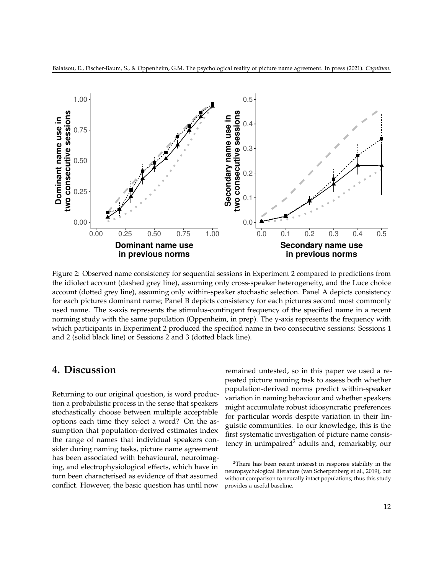

Balatsou, E., Fischer-Baum, S., & Oppenheim, G.M. The psychological reality of picture name agreement. In press (2021). *Cognition*.

Figure 2: Observed name consistency for sequential sessions in Experiment 2 compared to predictions from the idiolect account (dashed grey line), assuming only cross-speaker heterogeneity, and the Luce choice account (dotted grey line), assuming only within-speaker stochastic selection. Panel A depicts consistency for each pictures dominant name; Panel B depicts consistency for each pictures second most commonly used name. The x-axis represents the stimulus-contingent frequency of the specified name in a recent norming study with the same population (Oppenheim, in prep). The y-axis represents the frequency with which participants in Experiment 2 produced the specified name in two consecutive sessions: Sessions 1 and 2 (solid black line) or Sessions 2 and 3 (dotted black line).

# **4. Discussion**

Returning to our original question, is word production a probabilistic process in the sense that speakers stochastically choose between multiple acceptable options each time they select a word? On the assumption that population-derived estimates index the range of names that individual speakers consider during naming tasks, picture name agreement has been associated with behavioural, neuroimaging, and electrophysiological effects, which have in turn been characterised as evidence of that assumed conflict. However, the basic question has until now

**in previous norms**

remained untested, so in this paper we used a repeated picture naming task to assess both whether population-derived norms predict within-speaker variation in naming behaviour and whether speakers might accumulate robust idiosyncratic preferences for particular words despite variation in their linguistic communities. To our knowledge, this is the first systematic investigation of picture name consis-tency in unimpaired<sup>[2](#page-11-0)</sup> adults and, remarkably, our

**in previous norms**

<span id="page-11-0"></span><sup>2</sup>There has been recent interest in response stability in the neuropsychological literature (van Scherpenberg et al., 2019), but without comparison to neurally intact populations; thus this study provides a useful baseline.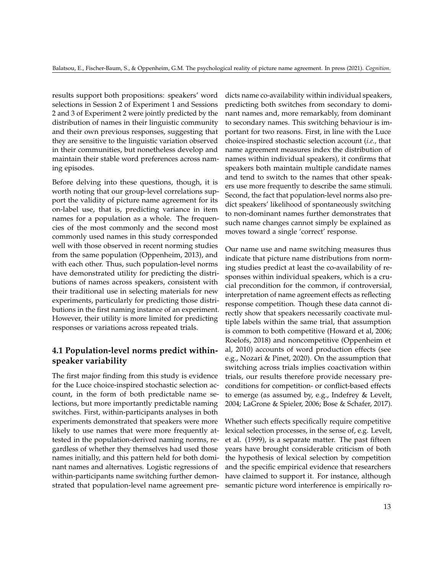results support both propositions: speakers' word selections in Session 2 of Experiment 1 and Sessions 2 and 3 of Experiment 2 were jointly predicted by the distribution of names in their linguistic community and their own previous responses, suggesting that they are sensitive to the linguistic variation observed in their communities, but nonetheless develop and maintain their stable word preferences across naming episodes.

Before delving into these questions, though, it is worth noting that our group-level correlations support the validity of picture name agreement for its on-label use, that is, predicting variance in item names for a population as a whole. The frequencies of the most commonly and the second most commonly used names in this study corresponded well with those observed in recent norming studies from the same population (Oppenheim, 2013), and with each other. Thus, such population-level norms have demonstrated utility for predicting the distributions of names across speakers, consistent with their traditional use in selecting materials for new experiments, particularly for predicting those distributions in the first naming instance of an experiment. However, their utility is more limited for predicting responses or variations across repeated trials.

## **4.1 Population-level norms predict withinspeaker variability**

The first major finding from this study is evidence for the Luce choice-inspired stochastic selection account, in the form of both predictable name selections, but more importantly predictable naming switches. First, within-participants analyses in both experiments demonstrated that speakers were more likely to use names that were more frequently attested in the population-derived naming norms, regardless of whether they themselves had used those names initially, and this pattern held for both dominant names and alternatives. Logistic regressions of within-participants name switching further demonstrated that population-level name agreement predicts name co-availability within individual speakers, predicting both switches from secondary to dominant names and, more remarkably, from dominant to secondary names. This switching behaviour is important for two reasons. First, in line with the Luce choice-inspired stochastic selection account (*i.e.,* that name agreement measures index the distribution of names within individual speakers), it confirms that speakers both maintain multiple candidate names and tend to switch to the names that other speakers use more frequently to describe the same stimuli. Second, the fact that population-level norms also predict speakers' likelihood of spontaneously switching to non-dominant names further demonstrates that such name changes cannot simply be explained as moves toward a single 'correct' response.

Our name use and name switching measures thus indicate that picture name distributions from norming studies predict at least the co-availability of responses within individual speakers, which is a crucial precondition for the common, if controversial, interpretation of name agreement effects as reflecting response competition. Though these data cannot directly show that speakers necessarily coactivate multiple labels within the same trial, that assumption is common to both competitive (Howard et al, 2006; Roelofs, 2018) and noncompetitive (Oppenheim et al, 2010) accounts of word production effects (see e.g., Nozari & Pinet, 2020). On the assumption that switching across trials implies coactivation within trials, our results therefore provide necessary preconditions for competition- or conflict-based effects to emerge (as assumed by, e.g., Indefrey & Levelt, 2004; LaGrone & Spieler, 2006; Bose & Schafer, 2017).

Whether such effects specifically require competitive lexical selection processes, in the sense of, e.g. Levelt, et al. (1999), is a separate matter. The past fifteen years have brought considerable criticism of both the hypothesis of lexical selection by competition and the specific empirical evidence that researchers have claimed to support it. For instance, although semantic picture word interference is empirically ro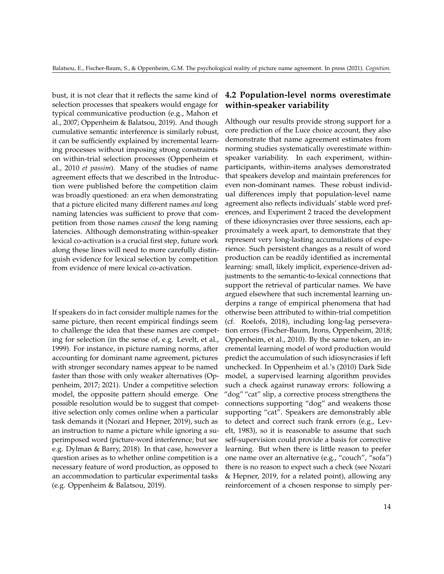bust, it is not clear that it reflects the same kind of selection processes that speakers would engage for typical communicative production (e.g., Mahon et al., 2007; Oppenheim & Balatsou, 2019). And though cumulative semantic interference is similarly robust, it can be sufficiently explained by incremental learning processes without imposing strong constraints on within-trial selection processes (Oppenheim et al., 2010 *et passim*). Many of the studies of name agreement effects that we described in the Introduction were published before the competition claim was broadly questioned: an era when demonstrating that a picture elicited many different names *and* long naming latencies was sufficient to prove that competition from those names *caused* the long naming latencies. Although demonstrating within-speaker lexical co-activation is a crucial first step, future work along these lines will need to more carefully distinguish evidence for lexical selection by competition from evidence of mere lexical co-activation.

If speakers do in fact consider multiple names for the same picture, then recent empirical findings seem to challenge the idea that these names are competing for selection (in the sense of, e.g. Levelt, et al., 1999). For instance, in picture naming norms, after accounting for dominant name agreement, pictures with stronger secondary names appear to be named faster than those with only weaker alternatives (Oppenheim, 2017; 2021). Under a competitive selection model, the opposite pattern should emerge. One possible resolution would be to suggest that competitive selection only comes online when a particular task demands it (Nozari and Hepner, 2019), such as an instruction to name a picture while ignoring a superimposed word (picture-word interference; but see e.g. Dylman & Barry, 2018). In that case, however a question arises as to whether online competition is a necessary feature of word production, as opposed to an accommodation to particular experimental tasks (e.g. Oppenheim & Balatsou, 2019).

## **4.2 Population-level norms overestimate within-speaker variability**

Although our results provide strong support for a core prediction of the Luce choice account, they also demonstrate that name agreement estimates from norming studies systematically overestimate withinspeaker variability. In each experiment, withinparticipants, within-items analyses demonstrated that speakers develop and maintain preferences for even non-dominant names. These robust individual differences imply that population-level name agreement also reflects individuals' stable word preferences, and Experiment 2 traced the development of these idiosyncrasies over three sessions, each approximately a week apart, to demonstrate that they represent very long-lasting accumulations of experience. Such persistent changes as a result of word production can be readily identified as incremental learning: small, likely implicit, experience-driven adjustments to the semantic-to-lexical connections that support the retrieval of particular names. We have argued elsewhere that such incremental learning underpins a range of empirical phenomena that had otherwise been attributed to within-trial competition (cf. Roelofs, 2018), including long-lag perseveration errors (Fischer-Baum, Irons, Oppenheim, 2018; Oppenheim, et al., 2010). By the same token, an incremental learning model of word production would predict the accumulation of such idiosyncrasies if left unchecked. In Oppenheim et al.'s (2010) Dark Side model, a supervised learning algorithm provides such a check against runaway errors: following a "dog" "cat" slip, a corrective process strengthens the connections supporting "dog" and weakens those supporting "cat". Speakers are demonstrably able to detect and correct such frank errors (e.g., Levelt, 1983), so it is reasonable to assume that such self-supervision could provide a basis for corrective learning. But when there is little reason to prefer one name over an alternative (e.g., "couch", "sofa") there is no reason to expect such a check (see Nozari & Hepner, 2019, for a related point), allowing any reinforcement of a chosen response to simply per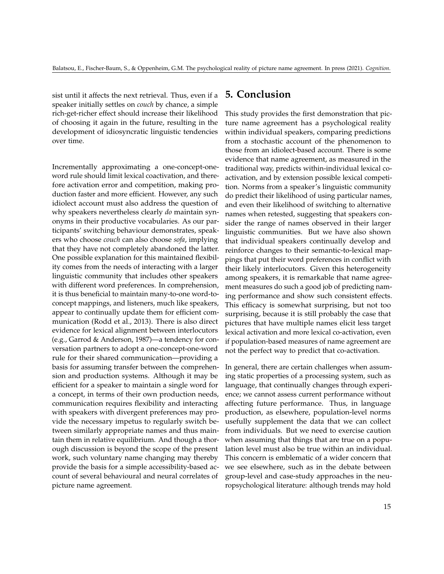sist until it affects the next retrieval. Thus, even if a speaker initially settles on *couch* by chance, a simple rich-get-richer effect should increase their likelihood of choosing it again in the future, resulting in the development of idiosyncratic linguistic tendencies over time.

Incrementally approximating a one-concept-oneword rule should limit lexical coactivation, and therefore activation error and competition, making production faster and more efficient. However, any such idiolect account must also address the question of why speakers nevertheless clearly *do* maintain synonyms in their productive vocabularies. As our participants' switching behaviour demonstrates, speakers who choose *couch* can also choose *sofa*, implying that they have not completely abandoned the latter. One possible explanation for this maintained flexibility comes from the needs of interacting with a larger linguistic community that includes other speakers with different word preferences. In comprehension, it is thus beneficial to maintain many-to-one word-toconcept mappings, and listeners, much like speakers, appear to continually update them for efficient communication (Rodd et al., 2013). There is also direct evidence for lexical alignment between interlocutors (e.g., Garrod & Anderson, 1987)—a tendency for conversation partners to adopt a one-concept-one-word rule for their shared communication—providing a basis for assuming transfer between the comprehension and production systems. Although it may be efficient for a speaker to maintain a single word for a concept, in terms of their own production needs, communication requires flexibility and interacting with speakers with divergent preferences may provide the necessary impetus to regularly switch between similarly appropriate names and thus maintain them in relative equilibrium. And though a thorough discussion is beyond the scope of the present work, such voluntary name changing may thereby provide the basis for a simple accessibility-based account of several behavioural and neural correlates of picture name agreement.

# **5. Conclusion**

This study provides the first demonstration that picture name agreement has a psychological reality within individual speakers, comparing predictions from a stochastic account of the phenomenon to those from an idiolect-based account. There is some evidence that name agreement, as measured in the traditional way, predicts within-individual lexical coactivation, and by extension possible lexical competition. Norms from a speaker's linguistic community do predict their likelihood of using particular names, and even their likelihood of switching to alternative names when retested, suggesting that speakers consider the range of names observed in their larger linguistic communities. But we have also shown that individual speakers continually develop and reinforce changes to their semantic-to-lexical mappings that put their word preferences in conflict with their likely interlocutors. Given this heterogeneity among speakers, it is remarkable that name agreement measures do such a good job of predicting naming performance and show such consistent effects. This efficacy is somewhat surprising, but not too surprising, because it is still probably the case that pictures that have multiple names elicit less target lexical activation and more lexical co-activation, even if population-based measures of name agreement are not the perfect way to predict that co-activation.

In general, there are certain challenges when assuming static properties of a processing system, such as language, that continually changes through experience; we cannot assess current performance without affecting future performance. Thus, in language production, as elsewhere, population-level norms usefully supplement the data that we can collect from individuals. But we need to exercise caution when assuming that things that are true on a population level must also be true within an individual. This concern is emblematic of a wider concern that we see elsewhere, such as in the debate between group-level and case-study approaches in the neuropsychological literature: although trends may hold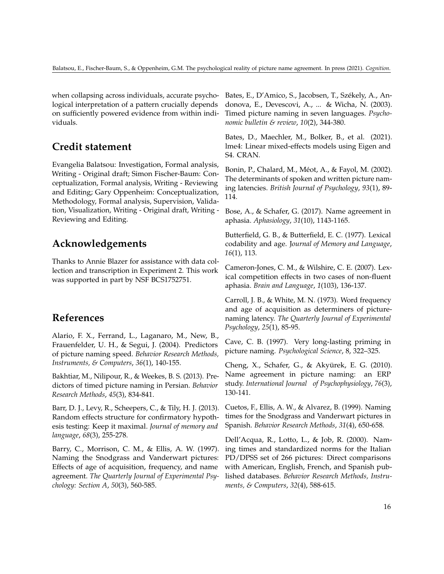when collapsing across individuals, accurate psychological interpretation of a pattern crucially depends on sufficiently powered evidence from within individuals.

# **Credit statement**

Evangelia Balatsou: Investigation, Formal analysis, Writing - Original draft; Simon Fischer-Baum: Conceptualization, Formal analysis, Writing - Reviewing and Editing; Gary Oppenheim: Conceptualization, Methodology, Formal analysis, Supervision, Validation, Visualization, Writing - Original draft, Writing - Reviewing and Editing.

# **Acknowledgements**

Thanks to Annie Blazer for assistance with data collection and transcription in Experiment 2. This work was supported in part by NSF BCS1752751.

# **References**

Alario, F. X., Ferrand, L., Laganaro, M., New, B., Frauenfelder, U. H., & Segui, J. (2004). Predictors of picture naming speed. *Behavior Research Methods, Instruments, & Computers*, *36*(1), 140-155.

Bakhtiar, M., Nilipour, R., & Weekes, B. S. (2013). Predictors of timed picture naming in Persian. *Behavior Research Methods*, *45*(3), 834-841.

Barr, D. J., Levy, R., Scheepers, C., & Tily, H. J. (2013). Random effects structure for confirmatory hypothesis testing: Keep it maximal. *Journal of memory and language*, *68*(3), 255-278.

Barry, C., Morrison, C. M., & Ellis, A. W. (1997). Naming the Snodgrass and Vanderwart pictures: Effects of age of acquisition, frequency, and name agreement. *The Quarterly Journal of Experimental Psychology: Section A*, *50*(3), 560-585.

Bates, E., D'Amico, S., Jacobsen, T., Székely, A., Andonova, E., Devescovi, A., ... & Wicha, N. (2003). Timed picture naming in seven languages. *Psychonomic bulletin & review*, *10*(2), 344-380.

Bates, D., Maechler, M., Bolker, B., et al. (2021). lme4: Linear mixed-effects models using Eigen and S4. CRAN.

Bonin, P., Chalard, M., Méot, A., & Fayol, M. (2002). The determinants of spoken and written picture naming latencies. *British Journal of Psychology*, *93*(1), 89- 114.

Bose, A., & Schafer, G. (2017). Name agreement in aphasia. *Aphasiology*, *31*(10), 1143-1165.

Butterfield, G. B., & Butterfield, E. C. (1977). Lexical codability and age. J*ournal of Memory and Language*, *16*(1), 113.

Cameron-Jones, C. M., & Wilshire, C. E. (2007). Lexical competition effects in two cases of non-fluent aphasia. *Brain and Language*, *1*(103), 136-137.

Carroll, J. B., & White, M. N. (1973). Word frequency and age of acquisition as determiners of picturenaming latency. *The Quarterly Journal of Experimental Psychology*, *25*(1), 85-95.

Cave, C. B. (1997). Very long-lasting priming in picture naming. *Psychological Science*, 8, 322–325.

Cheng, X., Schafer, G., & Akyürek, E. G. (2010). Name agreement in picture naming: an ERP study. *International Journal of Psychophysiology*, *76*(3), 130-141.

Cuetos, F., Ellis, A. W., & Alvarez, B. (1999). Naming times for the Snodgrass and Vanderwart pictures in Spanish. *Behavior Research Methods*, *31*(4), 650-658.

Dell'Acqua, R., Lotto, L., & Job, R. (2000). Naming times and standardized norms for the Italian PD/DPSS set of 266 pictures: Direct comparisons with American, English, French, and Spanish published databases. *Behavior Research Methods, Instruments, & Computers*, *32*(4), 588-615.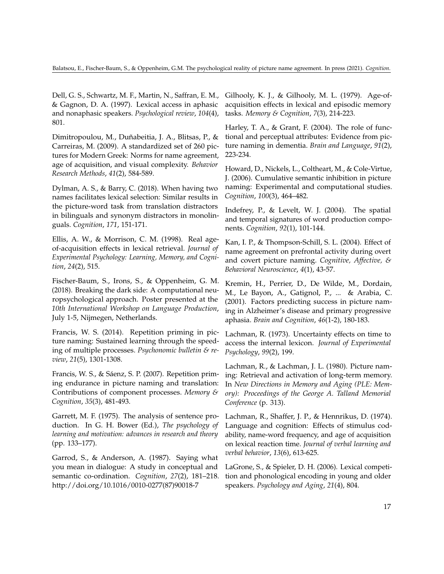Dell, G. S., Schwartz, M. F., Martin, N., Saffran, E. M., & Gagnon, D. A. (1997). Lexical access in aphasic and nonaphasic speakers. *Psychological review*, *104*(4), 801.

Dimitropoulou, M., Duñabeitia, J. A., Blitsas, P., & Carreiras, M. (2009). A standardized set of 260 pictures for Modern Greek: Norms for name agreement, age of acquisition, and visual complexity. *Behavior Research Methods*, *41*(2), 584-589.

Dylman, A. S., & Barry, C. (2018). When having two names facilitates lexical selection: Similar results in the picture-word task from translation distractors in bilinguals and synonym distractors in monolinguals. *Cognition*, *171*, 151-171.

Ellis, A. W., & Morrison, C. M. (1998). Real ageof-acquisition effects in lexical retrieval. *Journal of Experimental Psychology: Learning, Memory, and Cognition*, *24*(2), 515.

Fischer-Baum, S., Irons, S., & Oppenheim, G. M. (2018). Breaking the dark side: A computational neuropsychological approach. Poster presented at the *10th International Workshop on Language Production*, July 1-5, Nijmegen, Netherlands.

Francis, W. S. (2014). Repetition priming in picture naming: Sustained learning through the speeding of multiple processes. *Psychonomic bulletin & review*, *21*(5), 1301-1308.

Francis, W. S., & Sáenz, S. P. (2007). Repetition priming endurance in picture naming and translation: Contributions of component processes. *Memory & Cognition*, *35*(3), 481-493.

Garrett, M. F. (1975). The analysis of sentence production. In G. H. Bower (Ed.), *The psychology of learning and motivation: advances in research and theory* (pp. 133–177).

Garrod, S., & Anderson, A. (1987). Saying what you mean in dialogue: A study in conceptual and semantic co-ordination. *Cognition*, *27*(2), 181–218. http://doi.org/10.1016/0010-0277(87)90018-7

Gilhooly, K. J., & Gilhooly, M. L. (1979). Age-ofacquisition effects in lexical and episodic memory tasks. *Memory & Cognition*, *7*(3), 214-223.

Harley, T. A., & Grant, F. (2004). The role of functional and perceptual attributes: Evidence from picture naming in dementia. *Brain and Language*, *91*(2), 223-234.

Howard, D., Nickels, L., Coltheart, M., & Cole-Virtue, J. (2006). Cumulative semantic inhibition in picture naming: Experimental and computational studies. *Cognition*, *100*(3), 464–482.

Indefrey, P., & Levelt, W. J. (2004). The spatial and temporal signatures of word production components. *Cognition*, *92*(1), 101-144.

Kan, I. P., & Thompson-Schill, S. L. (2004). Effect of name agreement on prefrontal activity during overt and covert picture naming. *Cognitive, Affective, & Behavioral Neuroscience*, *4*(1), 43-57.

Kremin, H., Perrier, D., De Wilde, M., Dordain, M., Le Bayon, A., Gatignol, P., ... & Arabia, C. (2001). Factors predicting success in picture naming in Alzheimer's disease and primary progressive aphasia. *Brain and Cognition*, *46*(1-2), 180-183.

Lachman, R. (1973). Uncertainty effects on time to access the internal lexicon. *Journal of Experimental Psychology*, *99*(2), 199.

Lachman, R., & Lachman, J. L. (1980). Picture naming: Retrieval and activation of long-term memory. In *New Directions in Memory and Aging (PLE: Memory): Proceedings of the George A. Talland Memorial Conference* (p. 313).

Lachman, R., Shaffer, J. P., & Hennrikus, D. (1974). Language and cognition: Effects of stimulus codability, name-word frequency, and age of acquisition on lexical reaction time. *Journal of verbal learning and verbal behavior*, *13*(6), 613-625.

LaGrone, S., & Spieler, D. H. (2006). Lexical competition and phonological encoding in young and older speakers. *Psychology and Aging*, *21*(4), 804.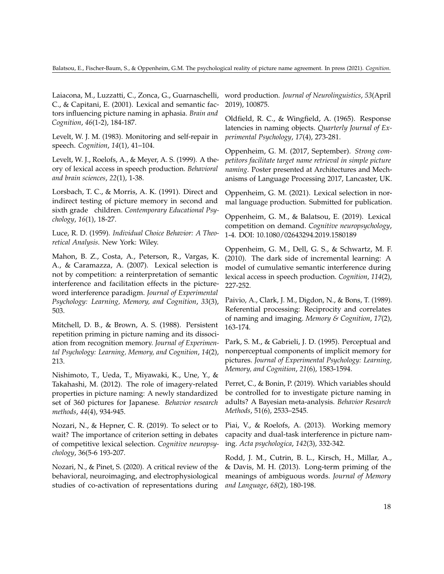Laiacona, M., Luzzatti, C., Zonca, G., Guarnaschelli, C., & Capitani, E. (2001). Lexical and semantic factors influencing picture naming in aphasia. *Brain and Cognition*, *46*(1-2), 184-187.

Levelt, W. J. M. (1983). Monitoring and self-repair in speech. *Cognition*, *14*(1), 41–104.

Levelt, W. J., Roelofs, A., & Meyer, A. S. (1999). A theory of lexical access in speech production. *Behavioral and brain sciences*, *22*(1), 1-38.

Lorsbach, T. C., & Morris, A. K. (1991). Direct and indirect testing of picture memory in second and sixth grade children. *Contemporary Educational Psychology*, *16*(1), 18-27.

Luce, R. D. (1959). *Individual Choice Behavior: A Theoretical Analysis*. New York: Wiley.

Mahon, B. Z., Costa, A., Peterson, R., Vargas, K. A., & Caramazza, A. (2007). Lexical selection is not by competition: a reinterpretation of semantic interference and facilitation effects in the pictureword interference paradigm. *Journal of Experimental Psychology: Learning, Memory, and Cognition*, *33*(3), 503.

Mitchell, D. B., & Brown, A. S. (1988). Persistent repetition priming in picture naming and its dissociation from recognition memory. *Journal of Experimental Psychology: Learning, Memory, and Cognition*, *14*(2), 213.

Nishimoto, T., Ueda, T., Miyawaki, K., Une, Y., & Takahashi, M. (2012). The role of imagery-related properties in picture naming: A newly standardized set of 360 pictures for Japanese. *Behavior research methods*, *44*(4), 934-945.

Nozari, N., & Hepner, C. R. (2019). To select or to wait? The importance of criterion setting in debates of competitive lexical selection. *Cognitive neuropsychology*, 36(5-6 193-207.

Nozari, N., & Pinet, S. (2020). A critical review of the behavioral, neuroimaging, and electrophysiological studies of co-activation of representations during

word production. *Journal of Neurolinguistics*, *53*(April 2019), 100875.

Oldfield, R. C., & Wingfield, A. (1965). Response latencies in naming objects. *Quarterly Journal of Experimental Psychology*, *17*(4), 273-281.

Oppenheim, G. M. (2017, September). *Strong competitors facilitate target name retrieval in simple picture naming*. Poster presented at Architectures and Mechanisms of Language Processing 2017, Lancaster, UK.

Oppenheim, G. M. (2021). Lexical selection in normal language production. Submitted for publication.

Oppenheim, G. M., & Balatsou, E. (2019). Lexical competition on demand. *Cognitive neuropsychology*, 1-4. DOI: 10.1080/02643294.2019.1580189

Oppenheim, G. M., Dell, G. S., & Schwartz, M. F. (2010). The dark side of incremental learning: A model of cumulative semantic interference during lexical access in speech production. *Cognition*, *114*(2), 227-252.

Paivio, A., Clark, J. M., Digdon, N., & Bons, T. (1989). Referential processing: Reciprocity and correlates of naming and imaging. *Memory & Cognition*, *17*(2), 163-174.

Park, S. M., & Gabrieli, J. D. (1995). Perceptual and nonperceptual components of implicit memory for pictures. *Journal of Experimental Psychology: Learning, Memory, and Cognition*, *21*(6), 1583-1594.

Perret, C., & Bonin, P. (2019). Which variables should be controlled for to investigate picture naming in adults? A Bayesian meta-analysis. *Behavior Research Methods*, 51(6), 2533–2545.

Piai, V., & Roelofs, A. (2013). Working memory capacity and dual-task interference in picture naming. *Acta psychologica*, *142*(3), 332-342.

Rodd, J. M., Cutrin, B. L., Kirsch, H., Millar, A., & Davis, M. H. (2013). Long-term priming of the meanings of ambiguous words. *Journal of Memory and Language*, *68*(2), 180-198.